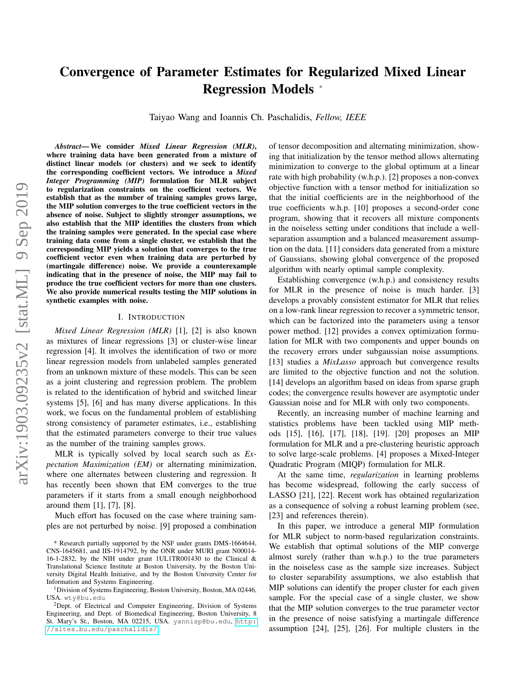# Convergence of Parameter Estimates for Regularized Mixed Linear Regression Models <sup>∗</sup>

Taiyao Wang and Ioannis Ch. Paschalidis, *Fellow, IEEE*

*Abstract*— We consider *Mixed Linear Regression (MLR)*, where training data have been generated from a mixture of distinct linear models (or clusters) and we seek to identify the corresponding coefficient vectors. We introduce a *Mixed Integer Programming (MIP)* formulation for MLR subject to regularization constraints on the coefficient vectors. We establish that as the number of training samples grows large, the MIP solution converges to the true coefficient vectors in the absence of noise. Subject to slightly stronger assumptions, we also establish that the MIP identifies the clusters from which the training samples were generated. In the special case where training data come from a single cluster, we establish that the corresponding MIP yields a solution that converges to the true coefficient vector even when training data are perturbed by (martingale difference) noise. We provide a counterexample indicating that in the presence of noise, the MIP may fail to produce the true coefficient vectors for more than one clusters. We also provide numerical results testing the MIP solutions in synthetic examples with noise.

### I. INTRODUCTION

*Mixed Linear Regression (MLR)* [1], [2] is also known as mixtures of linear regressions [3] or cluster-wise linear regression [4]. It involves the identification of two or more linear regression models from unlabeled samples generated from an unknown mixture of these models. This can be seen as a joint clustering and regression problem. The problem is related to the identification of hybrid and switched linear systems [5], [6] and has many diverse applications. In this work, we focus on the fundamental problem of establishing strong consistency of parameter estimates, i.e., establishing that the estimated parameters converge to their true values as the number of the training samples grows.

MLR is typically solved by local search such as *Expectation Maximization (EM)* or alternating minimization, where one alternates between clustering and regression. It has recently been shown that EM converges to the true parameters if it starts from a small enough neighborhood around them [1], [7], [8].

Much effort has focused on the case where training samples are not perturbed by noise. [9] proposed a combination of tensor decomposition and alternating minimization, showing that initialization by the tensor method allows alternating minimization to converge to the global optimum at a linear rate with high probability (w.h.p.). [2] proposes a non-convex objective function with a tensor method for initialization so that the initial coefficients are in the neighborhood of the true coefficients w.h.p. [10] proposes a second-order cone program, showing that it recovers all mixture components in the noiseless setting under conditions that include a wellseparation assumption and a balanced measurement assumption on the data. [11] considers data generated from a mixture of Gaussians, showing global convergence of the proposed algorithm with nearly optimal sample complexity.

Establishing convergence (w.h.p.) and consistency results for MLR in the presence of noise is much harder. [3] develops a provably consistent estimator for MLR that relies on a low-rank linear regression to recover a symmetric tensor, which can be factorized into the parameters using a tensor power method. [12] provides a convex optimization formulation for MLR with two components and upper bounds on the recovery errors under subgaussian noise assumptions. [13] studies a *MixLasso* approach but convergence results are limited to the objective function and not the solution. [14] develops an algorithm based on ideas from sparse graph codes; the convergence results however are asymptotic under Gaussian noise and for MLR with only two components.

Recently, an increasing number of machine learning and statistics problems have been tackled using MIP methods [15], [16], [17], [18], [19]. [20] proposes an MIP formulation for MLR and a pre-clustering heuristic approach to solve large-scale problems. [4] proposes a Mixed-Integer Quadratic Program (MIQP) formulation for MLR.

At the same time, *regularization* in learning problems has become widespread, following the early success of LASSO [21], [22]. Recent work has obtained regularization as a consequence of solving a robust learning problem (see, [23] and references therein).

In this paper, we introduce a general MIP formulation for MLR subject to norm-based regularization constraints. We establish that optimal solutions of the MIP converge almost surely (rather than w.h.p.) to the true parameters in the noiseless case as the sample size increases. Subject to cluster separability assumptions, we also establish that MIP solutions can identify the proper cluster for each given sample. For the special case of a single cluster, we show that the MIP solution converges to the true parameter vector in the presence of noise satisfying a martingale difference assumption [24], [25], [26]. For multiple clusters in the

<sup>\*</sup> Research partially supported by the NSF under grants DMS-1664644, CNS-1645681, and IIS-1914792, by the ONR under MURI grant N00014- 16-1-2832, by the NIH under grant 1UL1TR001430 to the Clinical & Translational Science Institute at Boston University, by the Boston University Digital Health Initiative, and by the Boston University Center for Information and Systems Engineering.

<sup>&</sup>lt;sup>1</sup> Division of Systems Engineering, Boston University, Boston, MA 02446, USA. wty@bu.edu

<sup>2</sup>Dept. of Electrical and Computer Engineering, Division of Systems Engineering, and Dept. of Biomedical Engineering, Boston University, 8 St. Mary's St., Boston, MA 02215, USA. yannisp@bu.edu, [http:](http://sites.bu.edu/paschalidis/) [//sites.bu.edu/paschalidis/](http://sites.bu.edu/paschalidis/).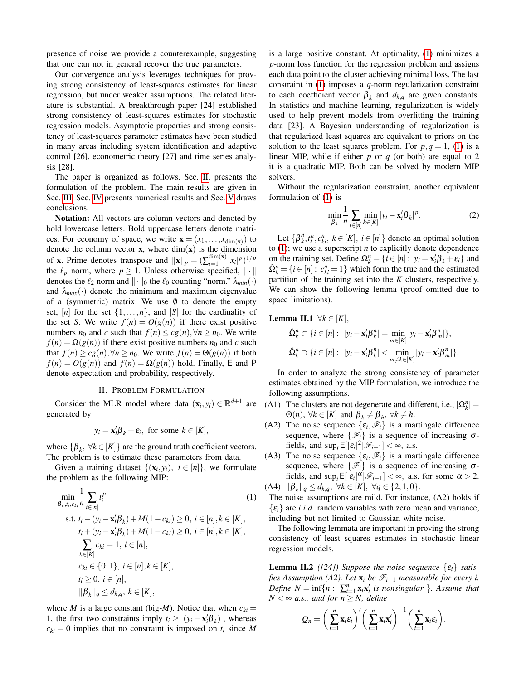presence of noise we provide a counterexample, suggesting that one can not in general recover the true parameters.

Our convergence analysis leverages techniques for proving strong consistency of least-squares estimates for linear regression, but under weaker assumptions. The related literature is substantial. A breakthrough paper [24] established strong consistency of least-squares estimates for stochastic regression models. Asymptotic properties and strong consistency of least-squares parameter estimates have been studied in many areas including system identification and adaptive control [26], econometric theory [27] and time series analysis [28].

The paper is organized as follows. Sec. [II,](#page-1-0) presents the formulation of the problem. The main results are given in Sec. [III.](#page-2-0) Sec. [IV](#page-4-0) presents numerical results and Sec. [V](#page-5-0) draws conclusions.

Notation: All vectors are column vectors and denoted by bold lowercase letters. Bold uppercase letters denote matrices. For economy of space, we write  $\mathbf{x} = (x_1, \dots, x_{\dim(\mathbf{x})})$  to denote the column vector  $x$ , where  $\dim(x)$  is the dimension of **x**. Prime denotes transpose and  $||\mathbf{x}||_p = (\sum_{i=1}^{\text{dim}(\mathbf{x})}$  $\lim_{i=1}^{dim(x)} |x_i|^p)^{1/p}$ the  $\ell_p$  norm, where  $p \geq 1$ . Unless otherwise specified,  $\|\cdot\|$ denotes the  $\ell_2$  norm and  $\|\cdot\|_0$  the  $\ell_0$  counting "norm."  $\lambda_{min}(\cdot)$ and  $\lambda_{max}(\cdot)$  denote the minimum and maximum eigenvalue of a (symmetric) matrix. We use  $\emptyset$  to denote the empty set,  $[n]$  for the set  $\{1,\ldots,n\}$ , and  $|S|$  for the cardinality of the set *S*. We write  $f(n) = O(g(n))$  if there exist positive numbers *n*<sub>0</sub> and *c* such that  $f(n) \le cg(n), \forall n \ge n_0$ . We write  $f(n) = \Omega(g(n))$  if there exist positive numbers  $n_0$  and *c* such that  $f(n) \ge cg(n), \forall n \ge n_0$ . We write  $f(n) = \Theta(g(n))$  if both  $f(n) = O(g(n))$  and  $f(n) = \Omega(g(n))$  hold. Finally, E and P denote expectation and probability, respectively.

## II. PROBLEM FORMULATION

<span id="page-1-0"></span>Consider the MLR model where data  $(\mathbf{x}_i, y_i) \in \mathbb{R}^{d+1}$  are generated by

$$
y_i = \mathbf{x}_i' \boldsymbol{\beta}_k + \boldsymbol{\varepsilon}_i
$$
, for some  $k \in [K]$ ,

where  $\{\beta_k, \forall k \in [K]\}$  are the ground truth coefficient vectors. The problem is to estimate these parameters from data.

Given a training dataset  $\{(\mathbf{x}_i, y_i), i \in [n]\}$ , we formulate the problem as the following MIP:

$$
\min_{\beta_{k}, t_{i}, c_{ki}} \frac{1}{n} \sum_{i \in [n]} t_{i}^{p}
$$
\n
$$
\text{s.t. } t_{i} - (y_{i} - \mathbf{x}_{i}'\beta_{k}) + M(1 - c_{ki}) \ge 0, \ i \in [n], k \in [K],
$$
\n
$$
t_{i} + (y_{i} - \mathbf{x}_{i}'\beta_{k}) + M(1 - c_{ki}) \ge 0, \ i \in [n], k \in [K],
$$
\n
$$
\sum_{k \in [K]} c_{ki} = 1, \ i \in [n],
$$
\n
$$
c_{ki} \in \{0, 1\}, \ i \in [n], k \in [K],
$$
\n
$$
t_{i} \ge 0, \ i \in [n],
$$
\n
$$
\|\beta_{k}\|_{q} \le d_{k,q}, \ k \in [K],
$$
\n
$$
(1)
$$

where *M* is a large constant (big-*M*). Notice that when  $c_{ki} =$ 1, the first two constraints imply  $t_i \ge |(y_i - \mathbf{x}_i^{\prime} \boldsymbol{\beta}_k)|$ , whereas  $c_{ki} = 0$  implies that no constraint is imposed on  $t_i$  since *M* 

is a large positive constant. At optimality, [\(1\)](#page-1-1) minimizes a *p*-norm loss function for the regression problem and assigns each data point to the cluster achieving minimal loss. The last constraint in [\(1\)](#page-1-1) imposes a *q*-norm regularization constraint to each coefficient vector  $\beta_k$  and  $d_{k,q}$  are given constants. In statistics and machine learning, regularization is widely used to help prevent models from overfitting the training data [23]. A Bayesian understanding of regularization is that regularized least squares are equivalent to priors on the solution to the least squares problem. For  $p, q = 1$ , [\(1\)](#page-1-1) is a linear MIP, while if either *p* or *q* (or both) are equal to 2 it is a quadratic MIP. Both can be solved by modern MIP solvers.

Without the regularization constraint, another equivalent formulation of [\(1\)](#page-1-1) is

$$
\min_{\beta_k} \frac{1}{n} \sum_{i \in [n]} \min_{k \in [K]} |y_i - \mathbf{x}_i' \boldsymbol{\beta}_k|^p. \tag{2}
$$

Let  $\{\beta_k^n, t_i^n, c_{ki}^n, k \in [K], i \in [n]\}$  denote an optimal solution to [\(1\)](#page-1-1); we use a superscript *n* to explicitly denote dependence on the training set. Define  $\Omega_k^n = \{i \in [n]: y_i = \mathbf{x}_i' \beta_k + \varepsilon_i\}$  and  $\hat{\Omega}_k^n = \{i \in [n]: c_{ki}^n = 1\}$  which form the true and the estimated partition of the training set into the *K* clusters, respectively. We can show the following lemma (proof omitted due to space limitations).

Lemma II.1 ∀*k* ∈ [*K*],

$$
\hat{\Omega}_k^n \subset \{i \in [n]: \ |y_i - \mathbf{x}_i' \boldsymbol{\beta}_k^n| = \min_{m \in [K]} |y_i - \mathbf{x}_i' \boldsymbol{\beta}_m^n| \},\
$$
  

$$
\hat{\Omega}_k^n \supset \{i \in [n]: \ |y_i - \mathbf{x}_i' \boldsymbol{\beta}_k^n| < \min_{m \neq k \in [K]} |y_i - \mathbf{x}_i' \boldsymbol{\beta}_m^n| \}.
$$

In order to analyze the strong consistency of parameter estimates obtained by the MIP formulation, we introduce the following assumptions.

- (A1) The clusters are not degenerate and different, i.e.,  $|\Omega_k^n|$  =  $\Theta(n)$ ,  $\forall k \in [K]$  and  $\beta_k \neq \beta_h$ ,  $\forall k \neq h$ .
- (A2) The noise sequence  $\{\varepsilon_i, \mathcal{F}_i\}$  is a martingale difference sequence, where  $\{\mathscr{F}_i\}$  is a sequence of increasing  $\sigma$ fields, and  $\sup_i E[|\varepsilon_i|^2 | \mathcal{F}_{i-1}] < \infty$ , a.s.
- (A3) The noise sequence  $\{\varepsilon_i, \mathcal{F}_i\}$  is a martingale difference sequence, where  $\{\mathscr{F}_i\}$  is a sequence of increasing  $\sigma$ fields, and  $\sup_i E[|\varepsilon_i|^{\alpha}|\mathscr{F}_{i-1}] < \infty$ , a.s. for some  $\alpha > 2$ .  $(A4)$   $\|\beta_k\|_q \leq d_{k,q}, \ \forall k \in [K], \ \forall q \in \{2, 1, 0\}.$

<span id="page-1-1"></span>The noise assumptions are mild. For instance, (A2) holds if  $\{\varepsilon_i\}$  are *i.i.d.* random variables with zero mean and variance, including but not limited to Gaussian white noise.

The following lemmata are important in proving the strong consistency of least squares estimates in stochastic linear regression models.

**Lemma II.2** *([24])* Suppose the noise sequence  $\{\varepsilon_i\}$  satis*fies Assumption (A2). Let*  $\mathbf{x}_i$  *be*  $\mathcal{F}_{i-1}$  *measurable for every i. Define*  $N = \inf\{n : \sum_{i=1}^{n} \mathbf{x}_i \mathbf{x}'_i \}$  *is nonsingular*  $\}$ *. Assume that*  $N < \infty$  *a.s., and for n*  $\geq N$ *, define* 

$$
Q_n = \left(\sum_{i=1}^n \mathbf{x}_i \varepsilon_i\right)' \left(\sum_{i=1}^n \mathbf{x}_i \mathbf{x}'_i\right)^{-1} \left(\sum_{i=1}^n \mathbf{x}_i \varepsilon_i\right).
$$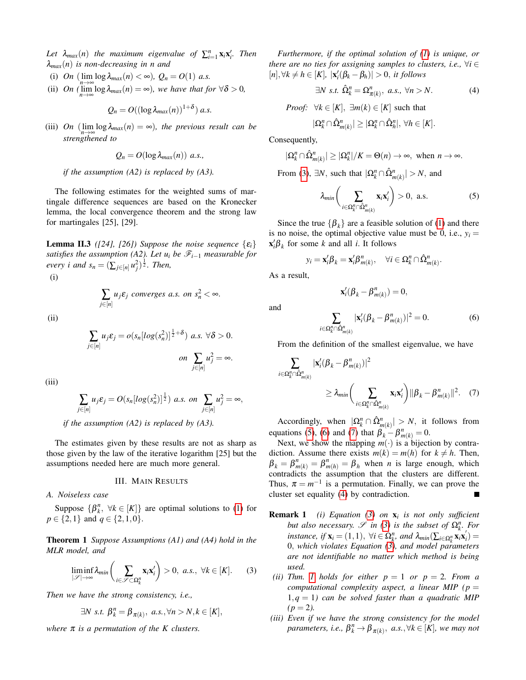Let  $\lambda_{max}(n)$  the maximum eigenvalue of  $\sum_{i=1}^{n} \mathbf{x}_i \mathbf{x}'_i$ . Then λ*max*(*n*) *is non-decreasing in n and*

- (i) *On* ( $\lim_{n \to \infty} \log \lambda_{max}(n) < \infty$ ),  $Q_n = O(1)$  *a.s.*
- (ii) *On* ( $\lim_{n\to\infty} \log \lambda_{max}(n) = \infty$ ), we have that for  $\forall \delta > 0$ ,

$$
Q_n = O((\log \lambda_{max}(n))^{1+\delta}) a.s.
$$

(iii) *On*  $(\lim_{n \to \infty} \log \lambda_{max}(n) = \infty)$ *, the previous result can be strengthened to*

<span id="page-2-7"></span>
$$
Q_n = O(\log \lambda_{max}(n)) \ a.s.,
$$

*if the assumption (A2) is replaced by (A3).*

The following estimates for the weighted sums of martingale difference sequences are based on the Kronecker lemma, the local convergence theorem and the strong law for martingales [25], [29].

**Lemma II.3** *([24], [26])* Suppose the noise sequence  $\{\varepsilon_i\}$ *satisfies the assumption (A2). Let*  $u_i$  *be*  $\mathcal{F}_{i-1}$  *measurable for every i and*  $s_n = (\sum_{j \in [n]} u_j^2)^{\frac{1}{2}}$ *. Then,* 

(i)

$$
\sum_{j\in[n]}u_j\varepsilon_j \text{ converges a.s. on } s_n^2<\infty.
$$

(ii)

$$
\sum_{i \in [n]} u_j \varepsilon_j = o(s_n \left[ \log(s_n^2) \right]^{\frac{1}{2} + \delta}) \ a.s. \ \forall \delta > 0.
$$
\n
$$
on \ \sum_{j \in [n]} u_j^2 = \infty.
$$

(iii)

$$
\sum_{j\in[n]} u_j \varepsilon_j = O(s_n \left[ \log(s_n^2) \right]^{\frac{1}{2}}) \text{ a.s. on } \sum_{j\in[n]} u_j^2 = \infty,
$$

*if the assumption (A2) is replaced by (A3).*

The estimates given by these results are not as sharp as those given by the law of the iterative logarithm [25] but the assumptions needed here are much more general.

## <span id="page-2-6"></span>III. MAIN RESULTS

<span id="page-2-0"></span>*A. Noiseless case*

*j*∈[*n*]

Suppose  $\{\beta_k^n, \forall k \in [K]\}\$  are optimal solutions to [\(1\)](#page-1-1) for  $p \in \{2, 1\}$  and  $q \in \{2, 1, 0\}$ .

Theorem 1 *Suppose Assumptions (A1) and (A4) hold in the MLR model, and*

<span id="page-2-1"></span>
$$
\liminf_{|\mathscr{S}| \to \infty} \lambda_{\min} \bigg( \sum_{i \in \mathscr{S} \subset \Omega_k^n} \mathbf{x}_i \mathbf{x}'_i \bigg) > 0, \ a.s., \ \forall k \in [K]. \tag{3}
$$

*Then we have the strong consistency, i.e.,*

$$
\exists N \ s.t. \ \beta_k^n = \beta_{\pi(k)}, \ a.s., \forall n > N, k \in [K],
$$

*where* π *is a permutation of the K clusters.*

*Furthermore, if the optimal solution of [\(1\)](#page-1-1) is unique, or there are no ties for assigning samples to clusters, i.e.,*  $\forall i \in$  $[n], \forall k \neq h \in [K], |\mathbf{x}'_i(\beta_k - \beta_h)| > 0, \text{ it follows}$ 

<span id="page-2-5"></span>
$$
\exists N \ s.t. \ \hat{\Omega}_k^n = \Omega_{\pi(k)}^n, \ a.s., \ \forall n > N. \tag{4}
$$

*Proof:*  $\forall k \in [K], \exists m(k) \in [K]$  such that

$$
|\Omega^n_k \cap \hat{\Omega}^n_{m(k)}| \geq |\Omega^n_k \cap \hat{\Omega}^n_h|, \ \forall h \in [K].
$$

Consequently,

$$
|\Omega^n_k \cap \hat{\Omega}^n_{m(k)}| \ge |\Omega^n_k|/K = \Theta(n) \to \infty, \text{ when } n \to \infty.
$$

From [\(3\)](#page-2-1),  $\exists N$ , such that  $|\Omega_k^n \cap \hat{\Omega}_{m(k)}^n| > N$ , and

<span id="page-2-2"></span>
$$
\lambda_{min}\bigg(\sum_{i\in\Omega_k^n\cap\hat{\Omega}_{m(k)}^n} \mathbf{x}_i\mathbf{x}_i'\bigg) > 0, \text{ a.s.}
$$
 (5)

Since the true  $\{\beta_k\}$  are a feasible solution of [\(1\)](#page-1-1) and there is no noise, the optimal objective value must be 0, i.e.,  $y_i =$  $\mathbf{x}'_i \boldsymbol{\beta}_k$  for some *k* and all *i*. It follows

$$
y_i = \mathbf{x}_i' \boldsymbol{\beta}_k = \mathbf{x}_i' \boldsymbol{\beta}_{m(k)}^n, \quad \forall i \in \Omega_k^n \cap \hat{\Omega}_{m(k)}^n.
$$

As a result,

and

<span id="page-2-4"></span>
$$
\mathbf{x}_i'(\boldsymbol{\beta}_k - \boldsymbol{\beta}^n_{m(k)}) = 0,
$$

<span id="page-2-3"></span>
$$
\sum_{i \in \Omega_k^n \cap \hat{\Omega}_{m(k)}^n} |\mathbf{x}'_i(\boldsymbol{\beta}_k - \boldsymbol{\beta}_{m(k)}^n)|^2 = 0.
$$
 (6)

From the definition of the smallest eigenvalue, we have

$$
\sum_{i \in \Omega_k^n \cap \hat{\Omega}_{m(k)}^n} |\mathbf{x}'_i(\beta_k - \beta_{m(k)}^n)|^2
$$
\n
$$
\geq \lambda_{min} \bigg( \sum_{i \in \Omega_k^n \cap \hat{\Omega}_{m(k)}^n} \mathbf{x}_i \mathbf{x}'_i \bigg) ||\beta_k - \beta_{m(k)}^n||^2. \tag{7}
$$

Accordingly, when  $|\Omega_k^n \cap \hat{\Omega}_{m(k)}^n| > N$ , it follows from equations [\(5\)](#page-2-2), [\(6\)](#page-2-3) and [\(7\)](#page-2-4) that  $\beta_k - \beta_{m(k)}^n = 0$ .

Next, we show the mapping  $m(\cdot)$  is a bijection by contradiction. Assume there exists  $m(k) = m(h)$  for  $k \neq h$ . Then,  $\beta_k = \beta_{m(k)}^n = \beta_{m(h)}^n = \beta_h$  when *n* is large enough, which contradicts the assumption that the clusters are different. Thus,  $\pi = m^{-1}$  is a permutation. Finally, we can prove the cluster set equality [\(4\)](#page-2-5) by contradiction.

- Remark 1 *(i) Equation [\(3\)](#page-2-1) on* x*<sup>i</sup> is not only sufficient but also necessary.*  $\mathscr{S}$  *in* [\(3\)](#page-2-1) *is the subset of*  $\Omega_k^n$ . *For instance, if*  $\mathbf{x}_i = (1,1)$ ,  $\forall i \in \Omega_k^n$ , and  $\lambda_{min}(\sum_{i \in \Omega_k^n} \mathbf{x}_i \mathbf{x}_i)$ *i* ) = 0, *which violates Equation [\(3\)](#page-2-1), and model parameters are not identifiable no matter which method is being used.*
- *(ii) Thm. 1 holds for either*  $p = 1$  $p = 1$  *<i>or*  $p = 2$ *. From a computational complexity aspect, a linear MIP (* $p =$ 1,*q* = 1*) can be solved faster than a quadratic MIP*  $(p = 2)$ .
- *(iii) Even if we have the strong consistency for the model*  $\beta_k^n$  *parameters, i.e.,*  $\beta_k^n \to \beta_{\pi(k)}, \ a.s., \forall k \in [K]$ , we may not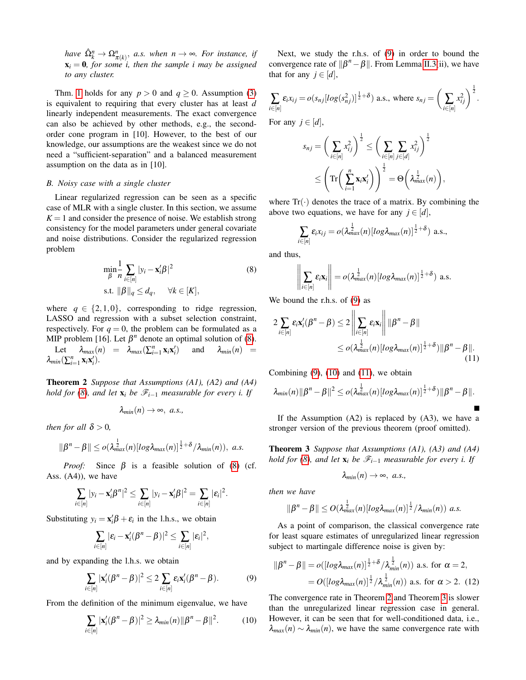*have*  $\hat{\Omega}_k^n \to \Omega_{\pi(k)}^n$ , *a.s. when*  $n \to \infty$ *. For instance, if*  $x_i = 0$ , for some *i*, then the sample *i* may be assigned *to any cluster.*

Thm. [1](#page-2-6) holds for any  $p > 0$  and  $q \ge 0$ . Assumption [\(3\)](#page-2-1) is equivalent to requiring that every cluster has at least *d* linearly independent measurements. The exact convergence can also be achieved by other methods, e.g., the secondorder cone program in [10]. However, to the best of our knowledge, our assumptions are the weakest since we do not need a "sufficient-separation" and a balanced measurement assumption on the data as in [10].

## *B. Noisy case with a single cluster*

Linear regularized regression can be seen as a specific case of MLR with a single cluster. In this section, we assume  $K = 1$  and consider the presence of noise. We establish strong consistency for the model parameters under general covariate and noise distributions. Consider the regularized regression problem

$$
\min_{\beta} \frac{1}{n} \sum_{i \in [n]} |y_i - \mathbf{x}_i'\beta|^2
$$
\n
$$
\text{s.t. } ||\beta||_q \le d_q, \quad \forall k \in [K],
$$
\n(8)

where  $q \in \{2, 1, 0\}$ , corresponding to ridge regression, LASSO and regression with a subset selection constraint, respectively. For  $q = 0$ , the problem can be formulated as a MIP problem [16]. Let  $\beta^n$  denote an optimal solution of [\(8\)](#page-3-0).

<span id="page-3-4"></span>Let  $\lambda_{max}(n) = \lambda_{max}(\sum_{i=1}^{n} \mathbf{x}_i \mathbf{x}_i)$ and  $\lambda_{min}(n)$  =  $\lambda_{min}(\sum_{i=1}^n \mathbf{x}_i \mathbf{x}'_i).$ 

Theorem 2 *Suppose that Assumptions (A1), (A2) and (A4) hold for* [\(8\)](#page-3-0), and let  $\mathbf{x}_i$  *be*  $\mathcal{F}_{i-1}$  *measurable for every i. If* 

$$
\lambda_{min}(n)\rightarrow\infty,\,\,a.s.,
$$

*then for all*  $\delta > 0$ *,* 

$$
\|\beta^{n}-\beta\|\leq o(\lambda_{max}^{\frac{1}{2}}(n)[log\lambda_{max}(n)]^{\frac{1}{2}+\delta}/\lambda_{min}(n)), a.s.
$$

*Proof:* Since  $\beta$  is a feasible solution of [\(8\)](#page-3-0) (cf. Ass. (A4)), we have

$$
\sum_{i\in[n]}|y_i-\mathbf{x}_i'\boldsymbol{\beta}^n|^2\leq \sum_{i\in[n]}|y_i-\mathbf{x}_i'\boldsymbol{\beta}|^2=\sum_{i\in[n]}|\varepsilon_i|^2.
$$

Substituting  $y_i = \mathbf{x}_i' \boldsymbol{\beta} + \varepsilon_i$  in the l.h.s., we obtain

$$
\sum_{i\in[n]}|\varepsilon_i-\mathbf{x}'_i(\boldsymbol{\beta}^n-\boldsymbol{\beta})|^2\leq \sum_{i\in[n]}|\varepsilon_i|^2,
$$

and by expanding the l.h.s. we obtain

<span id="page-3-1"></span>
$$
\sum_{i\in[n]}|\mathbf{x}'_i(\boldsymbol{\beta}^n-\boldsymbol{\beta})|^2\leq 2\sum_{i\in[n]}\varepsilon_i\mathbf{x}'_i(\boldsymbol{\beta}^n-\boldsymbol{\beta}).\tag{9}
$$

From the definition of the minimum eigenvalue, we have

<span id="page-3-2"></span>
$$
\sum_{i\in[n]}|\mathbf{x}'_i(\boldsymbol{\beta}^n-\boldsymbol{\beta})|^2\geq \lambda_{min}(n)\|\boldsymbol{\beta}^n-\boldsymbol{\beta}\|^2. \tag{10}
$$

Next, we study the r.h.s. of [\(9\)](#page-3-1) in order to bound the convergence rate of  $\|\beta^n - \beta\|$ . From Lemma [II.3\(](#page-2-7)ii), we have that for any  $j \in [d]$ ,

$$
\sum_{i\in[n]} \varepsilon_i x_{ij} = o(s_{nj}[log(s_{nj}^2)]^{\frac{1}{2}+\delta}) \text{ a.s., where } s_{nj} = \left(\sum_{i\in[n]} x_{ij}^2\right)^{\frac{1}{2}}.
$$

For any  $j \in [d]$ ,

$$
s_{nj} = \left(\sum_{i \in [n]} x_{ij}^2\right)^{\frac{1}{2}} \le \left(\sum_{i \in [n]} \sum_{j \in [d]} x_{ij}^2\right)^{\frac{1}{2}}
$$

$$
\le \left(\mathrm{Tr}\left(\sum_{i=1}^n \mathbf{x}_i \mathbf{x}'_i\right)\right)^{\frac{1}{2}} = \Theta\left(\lambda_{max}^{\frac{1}{2}}(n)\right),
$$

where  $Tr(\cdot)$  denotes the trace of a matrix. By combining the above two equations, we have for any  $j \in [d]$ ,

$$
\sum_{i\in[n]}\varepsilon_i x_{ij}=o(\lambda_{max}^{\frac{1}{2}}(n)[log\lambda_{max}(n)]^{\frac{1}{2}+\delta}) \text{ a.s.},
$$

<span id="page-3-0"></span>and thus,

$$
\left\|\sum_{i\in[n]}\varepsilon_i\mathbf{x}_i\right\|=o(\lambda_{max}^{\frac{1}{2}}(n)[log\lambda_{max}(n)]^{\frac{1}{2}+\delta})\ \mathrm{a.s.}
$$

We bound the r.h.s. of [\(9\)](#page-3-1) as

$$
2\sum_{i\in[n]}\varepsilon_{i}\mathbf{x}'_{i}(\boldsymbol{\beta}^{n}-\boldsymbol{\beta})\leq 2\left\|\sum_{i\in[n]}\varepsilon_{i}\mathbf{x}_{i}\right\|\|\boldsymbol{\beta}^{n}-\boldsymbol{\beta}\|
$$
  

$$
\leq o(\lambda_{max}^{\frac{1}{2}}(n)[log\lambda_{max}(n)]^{\frac{1}{2}+\delta})\|\boldsymbol{\beta}^{n}-\boldsymbol{\beta}\|.
$$
 (11)

Combining  $(9)$ ,  $(10)$  and  $(11)$ , we obtain

$$
\lambda_{min}(n)\|\beta^n-\beta\|^2\leq o(\lambda_{max}^{\frac{1}{2}}(n)[log\lambda_{max}(n)]^{\frac{1}{2}+\delta})\|\beta^n-\beta\|.
$$

If the Assumption  $(A2)$  is replaced by  $(A3)$ , we have a stronger version of the previous theorem (proof omitted).

Theorem 3 *Suppose that Assumptions (A1), (A3) and (A4) hold for [\(8\)](#page-3-0), and let*  $\mathbf{x}_i$  *be*  $\mathcal{F}_{i-1}$  *measurable for every i. If* 

<span id="page-3-5"></span><span id="page-3-3"></span>
$$
\lambda_{min}(n)\rightarrow\infty,\,\,a.s.,
$$

*then we have*

$$
\|\beta^{n}-\beta\|\leq O(\lambda_{max}^{\frac{1}{2}}(n)[log\lambda_{max}(n)]^{\frac{1}{2}}/\lambda_{min}(n))\ a.s.
$$

As a point of comparison, the classical convergence rate for least square estimates of unregularized linear regression subject to martingale difference noise is given by:

$$
\|\beta^n - \beta\| = o(\left[log\lambda_{max}(n)\right]^{\frac{1}{2} + \delta} / \lambda_{min}^{\frac{1}{2}}(n)) \text{ a.s. for } \alpha = 2,
$$
  
= 
$$
O(\left[log\lambda_{max}(n)\right]^{\frac{1}{2}} / \lambda_{min}^{\frac{1}{2}}(n)) \text{ a.s. for } \alpha > 2. (12)
$$

The convergence rate in Theorem [2](#page-3-4) and Theorem [3](#page-3-5) is slower than the unregularized linear regression case in general. However, it can be seen that for well-conditioned data, i.e.,  $\lambda_{max}(n) \sim \lambda_{min}(n)$ , we have the same convergence rate with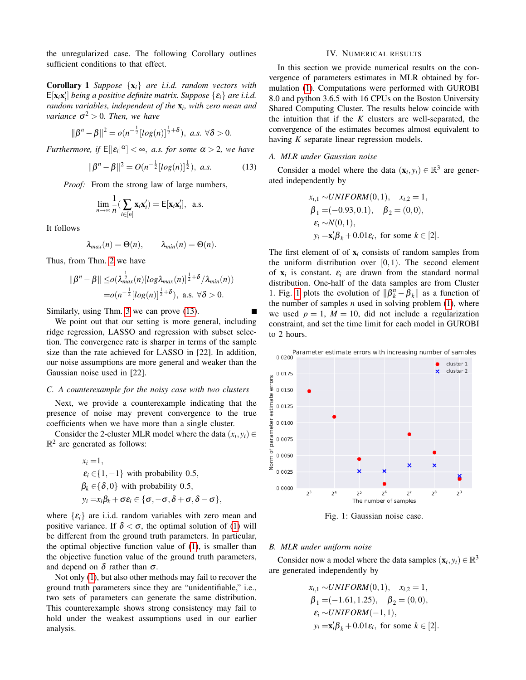the unregularized case. The following Corollary outlines sufficient conditions to that effect.

Corollary 1 *Suppose* {x*i*} *are i.i.d. random vectors with*  $E[\mathbf{x}_i \mathbf{x}'_i]$  *being a positive definite matrix. Suppose*  $\{\varepsilon_i\}$  *are i.i.d. random variables, independent of the* x*<sup>i</sup> , with zero mean and variance*  $\sigma^2 > 0$ *. Then, we have* 

$$
\|\beta^{n}-\beta\|^{2}=o(n^{-\frac{1}{2}}[log(n)]^{\frac{1}{2}+\delta}), \ a.s. \ \forall \delta>0.
$$

*Furthermore, if*  $E[|\varepsilon_i|^{\alpha}] < \infty$ , *a.s. for some*  $\alpha > 2$ , we have

<span id="page-4-1"></span>
$$
\|\beta^n - \beta\|^2 = O(n^{-\frac{1}{2}}[log(n)]^{\frac{1}{2}}), \ a.s. \tag{13}
$$

*Proof:* From the strong law of large numbers,

$$
\lim_{n\to\infty}\frac{1}{n}(\sum_{i\in[n]}\mathbf{x}_i\mathbf{x}'_i)=\mathsf{E}[\mathbf{x}_i\mathbf{x}'_i], \text{ a.s.}
$$

It follows

$$
\lambda_{max}(n) = \Theta(n), \qquad \lambda_{min}(n) = \Theta(n).
$$

Thus, from Thm. [2](#page-3-4) we have

$$
\|\beta^n - \beta\| \leq o(\lambda_{max}^{\frac{1}{2}}(n)[log\lambda_{max}(n)]^{\frac{1}{2}+\delta}/\lambda_{min}(n))
$$
  
=  $o(n^{-\frac{1}{2}}[log(n)]^{\frac{1}{2}+\delta}), \text{ a.s. } \forall \delta > 0.$ 

Similarly, using Thm. [3](#page-3-5) we can prove [\(13\)](#page-4-1).

We point out that our setting is more general, including ridge regression, LASSO and regression with subset selection. The convergence rate is sharper in terms of the sample size than the rate achieved for LASSO in [22]. In addition, our noise assumptions are more general and weaker than the Gaussian noise used in [22].

#### *C. A counterexample for the noisy case with two clusters*

Next, we provide a counterexample indicating that the presence of noise may prevent convergence to the true coefficients when we have more than a single cluster.

Consider the 2-cluster MLR model where the data  $(x_i, y_i) \in$  $\mathbb{R}^2$  are generated as follows:

$$
x_i = 1,
$$
  
\n
$$
\varepsilon_i \in \{1, -1\}
$$
 with probability 0.5,  
\n
$$
\beta_k \in \{\delta, 0\}
$$
 with probability 0.5,  
\n
$$
y_i = x_i \beta_k + \sigma \varepsilon_i \in \{\sigma, -\sigma, \delta + \sigma, \delta - \sigma\},
$$

where  $\{\varepsilon_i\}$  are i.i.d. random variables with zero mean and positive variance. If  $\delta < \sigma$ , the optimal solution of [\(1\)](#page-1-1) will be different from the ground truth parameters. In particular, the optimal objective function value of [\(1\)](#page-1-1), is smaller than the objective function value of the ground truth parameters, and depend on  $\delta$  rather than  $\sigma$ .

Not only [\(1\)](#page-1-1), but also other methods may fail to recover the ground truth parameters since they are "unidentifiable," i.e., two sets of parameters can generate the same distribution. This counterexample shows strong consistency may fail to hold under the weakest assumptions used in our earlier analysis.

#### IV. NUMERICAL RESULTS

<span id="page-4-0"></span>In this section we provide numerical results on the convergence of parameters estimates in MLR obtained by formulation [\(1\)](#page-1-1). Computations were performed with GUROBI 8.0 and python 3.6.5 with 16 CPUs on the Boston University Shared Computing Cluster. The results below coincide with the intuition that if the *K* clusters are well-separated, the convergence of the estimates becomes almost equivalent to having *K* separate linear regression models.

## *A. MLR under Gaussian noise*

Consider a model where the data  $(\mathbf{x}_i, y_i) \in \mathbb{R}^3$  are generated independently by

$$
x_{i,1} \sim UNIFORM(0,1), \quad x_{i,2} = 1, \n\beta_1 = (-0.93, 0.1), \quad \beta_2 = (0,0), \n\varepsilon_i \sim N(0,1), \n\gamma_i = \mathbf{x}'_i \beta_k + 0.01 \varepsilon_i, \text{ for some } k \in [2].
$$

The first element of of  $x_i$  consists of random samples from the uniform distribution over  $[0,1)$ . The second element of  $x_i$  is constant.  $\varepsilon_i$  are drawn from the standard normal distribution. One-half of the data samples are from Cluster 1. Fig. [1](#page-4-2) plots the evolution of  $\|\beta_k^n - \beta_k\|$  as a function of the number of samples  $n$  used in solving problem  $(1)$ , where we used  $p = 1$ ,  $M = 10$ , did not include a regularization constraint, and set the time limit for each model in GUROBI to 2 hours.

<span id="page-4-2"></span>

Fig. 1: Gaussian noise case.

## *B. MLR under uniform noise*

Consider now a model where the data samples  $(\mathbf{x}_i, y_i) \in \mathbb{R}^3$ are generated independently by

$$
x_{i,1} \sim UNIFORM(0,1), \quad x_{i,2} = 1,
$$
  
\n
$$
\beta_1 = (-1.61, 1.25), \quad \beta_2 = (0,0),
$$
  
\n
$$
\varepsilon_i \sim UNIFORM(-1,1),
$$
  
\n
$$
y_i = \mathbf{x}_i' \beta_k + 0.01 \varepsilon_i, \text{ for some } k \in [2].
$$